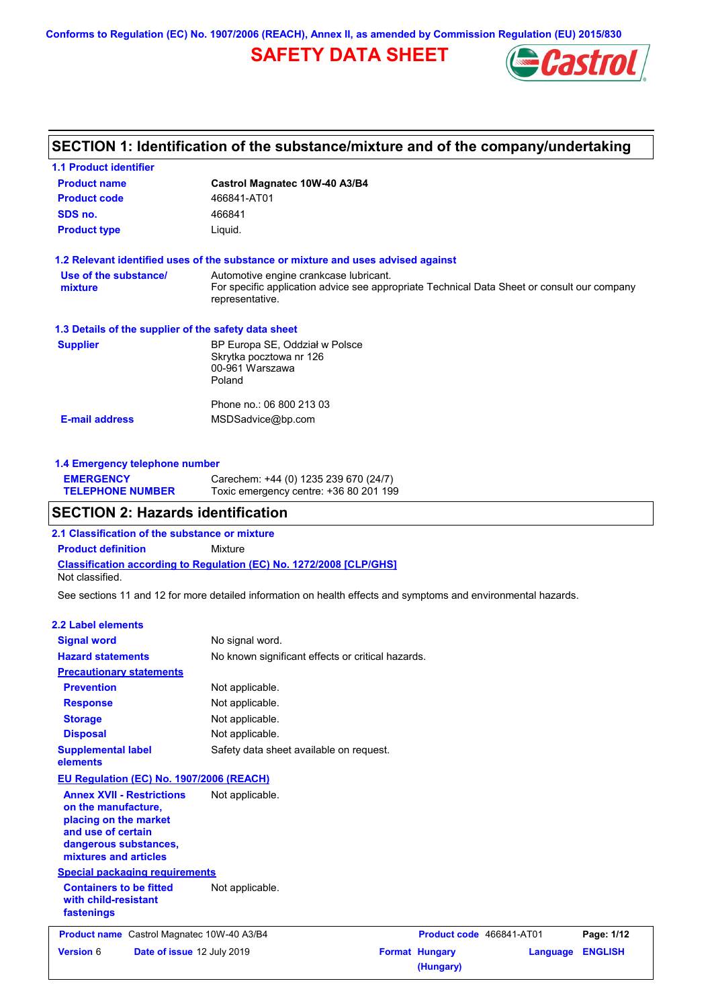**Conforms to Regulation (EC) No. 1907/2006 (REACH), Annex II, as amended by Commission Regulation (EU) 2015/830**

# **SAFETY DATA SHEET**



# **SECTION 1: Identification of the substance/mixture and of the company/undertaking**

| <b>1.1 Product identifier</b>                        |                                                                                                                                                          |
|------------------------------------------------------|----------------------------------------------------------------------------------------------------------------------------------------------------------|
| <b>Product name</b>                                  | Castrol Magnatec 10W-40 A3/B4                                                                                                                            |
| <b>Product code</b>                                  | 466841-AT01                                                                                                                                              |
| SDS no.                                              | 466841                                                                                                                                                   |
| <b>Product type</b>                                  | Liquid.                                                                                                                                                  |
|                                                      | 1.2 Relevant identified uses of the substance or mixture and uses advised against                                                                        |
| Use of the substance/<br>mixture                     | Automotive engine crankcase lubricant.<br>For specific application advice see appropriate Technical Data Sheet or consult our company<br>representative. |
| 1.3 Details of the supplier of the safety data sheet |                                                                                                                                                          |
| <b>Supplier</b>                                      | BP Europa SE, Oddział w Polsce<br>Skrytka pocztowa nr 126<br>00-961 Warszawa<br>Poland                                                                   |
| <b>E-mail address</b>                                | Phone no.: 06 800 213 03<br>MSDSadvice@bp.com                                                                                                            |
|                                                      |                                                                                                                                                          |

| 1.4 Emergency telephone number |                                       |  |
|--------------------------------|---------------------------------------|--|
| <b>EMERGENCY</b>               | Carechem: +44 (0) 1235 239 670 (24/7) |  |
| <b>TELEPHONE NUMBER</b>        | Toxic emergency centre: $+3680201199$ |  |

# **SECTION 2: Hazards identification**

**Classification according to Regulation (EC) No. 1272/2008 [CLP/GHS] 2.1 Classification of the substance or mixture Product definition** Mixture Not classified.

See sections 11 and 12 for more detailed information on health effects and symptoms and environmental hazards.

#### **2.2 Label elements**

| <b>Signal word</b>                                                                                                                                       | No signal word.                                   |                            |
|----------------------------------------------------------------------------------------------------------------------------------------------------------|---------------------------------------------------|----------------------------|
| <b>Hazard statements</b>                                                                                                                                 | No known significant effects or critical hazards. |                            |
| <b>Precautionary statements</b>                                                                                                                          |                                                   |                            |
| <b>Prevention</b>                                                                                                                                        | Not applicable.                                   |                            |
| <b>Response</b>                                                                                                                                          | Not applicable.                                   |                            |
| <b>Storage</b>                                                                                                                                           | Not applicable.                                   |                            |
| <b>Disposal</b>                                                                                                                                          | Not applicable.                                   |                            |
| <b>Supplemental label</b><br>elements                                                                                                                    | Safety data sheet available on request.           |                            |
| EU Regulation (EC) No. 1907/2006 (REACH)                                                                                                                 |                                                   |                            |
| <b>Annex XVII - Restrictions</b><br>on the manufacture,<br>placing on the market<br>and use of certain<br>dangerous substances,<br>mixtures and articles | Not applicable.                                   |                            |
| <b>Special packaging requirements</b>                                                                                                                    |                                                   |                            |
| <b>Containers to be fitted</b><br>with child-resistant<br>fastenings                                                                                     | Not applicable.                                   |                            |
| Product name Castrol Magnatec 10W-40 A3/B4                                                                                                               | Product code 466841-AT01                          | Page: 1/12                 |
| <b>Version 6</b><br>Date of issue 12 July 2019                                                                                                           | <b>Format Hungary</b><br>(Hungary)                | <b>ENGLISH</b><br>Language |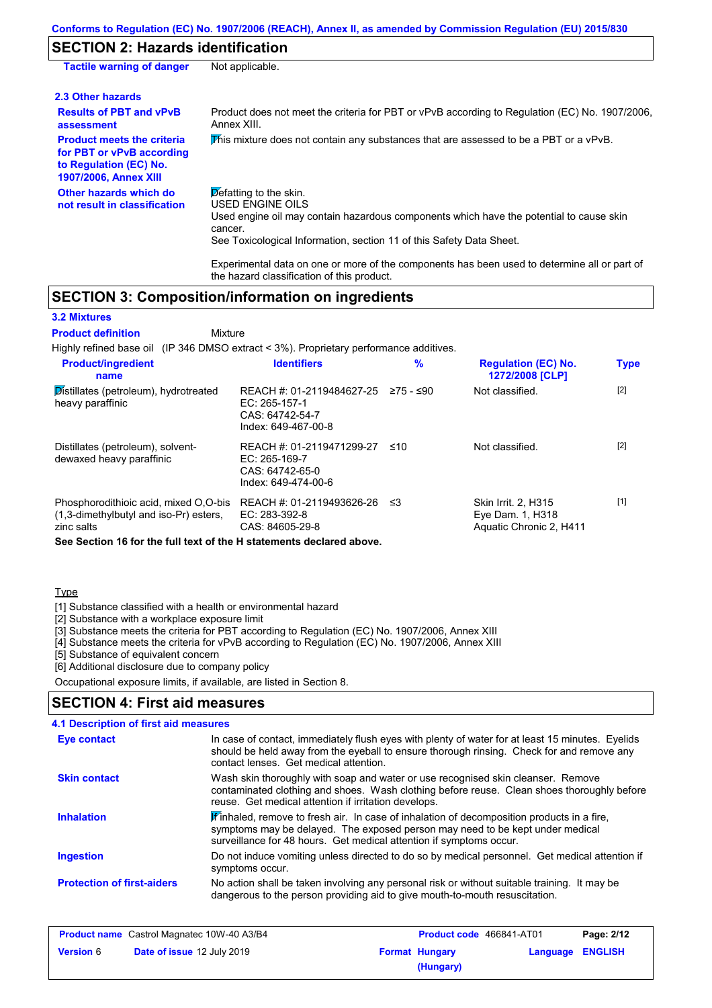# **SECTION 2: Hazards identification**

| <b>Tactile warning of danger</b>                                                                                         | Not applicable.                                                                                                                                                                                                                                 |
|--------------------------------------------------------------------------------------------------------------------------|-------------------------------------------------------------------------------------------------------------------------------------------------------------------------------------------------------------------------------------------------|
| 2.3 Other hazards                                                                                                        |                                                                                                                                                                                                                                                 |
| <b>Results of PBT and vPvB</b><br>assessment                                                                             | Product does not meet the criteria for PBT or vPvB according to Regulation (EC) No. 1907/2006,<br>Annex XIII.                                                                                                                                   |
| <b>Product meets the criteria</b><br>for PBT or vPvB according<br>to Regulation (EC) No.<br><b>1907/2006, Annex XIII</b> | This mixture does not contain any substances that are assessed to be a PBT or a vPvB.                                                                                                                                                           |
| Other hazards which do<br>not result in classification                                                                   | $\triangleright$ efatting to the skin.<br><b>USED ENGINE OILS</b><br>Used engine oil may contain hazardous components which have the potential to cause skin<br>cancer.<br>See Toxicological Information, section 11 of this Safety Data Sheet. |

Experimental data on one or more of the components has been used to determine all or part of the hazard classification of this product.

## **SECTION 3: Composition/information on ingredients**

Mixture

#### **3.2 Mixtures**

## **Product definition**

Highly refined base oil (IP 346 DMSO extract < 3%). Proprietary performance additives.

| <b>Product/ingredient</b><br>name                                                                                                                                      | <b>Identifiers</b>                                                                   | $\%$      | <b>Regulation (EC) No.</b><br>1272/2008 [CLP]                      | <b>Type</b> |
|------------------------------------------------------------------------------------------------------------------------------------------------------------------------|--------------------------------------------------------------------------------------|-----------|--------------------------------------------------------------------|-------------|
| Distillates (petroleum), hydrotreated<br>heavy paraffinic                                                                                                              | REACH #: 01-2119484627-25<br>EC: 265-157-1<br>CAS: 64742-54-7<br>Index: 649-467-00-8 | 275 - ≤90 | Not classified.                                                    | $[2]$       |
| Distillates (petroleum), solvent-<br>dewaxed heavy paraffinic                                                                                                          | REACH #: 01-2119471299-27<br>EC: 265-169-7<br>CAS: 64742-65-0<br>Index: 649-474-00-6 | ≤10       | Not classified.                                                    | $[2]$       |
| Phosphorodithioic acid, mixed O.O-bis<br>(1,3-dimethylbutyl and iso-Pr) esters,<br>zinc salts<br>One Onether 40 families full tout of the History and a dealered above | REACH #: 01-2119493626-26<br>$EC: 283-392-8$<br>CAS: 84605-29-8                      | -≤3       | Skin Irrit. 2, H315<br>Eye Dam. 1, H318<br>Aquatic Chronic 2, H411 | $[1]$       |

**See Section 16 for the full text of the H statements declared above.**

#### **Type**

[1] Substance classified with a health or environmental hazard

[2] Substance with a workplace exposure limit

[3] Substance meets the criteria for PBT according to Regulation (EC) No. 1907/2006, Annex XIII

[4] Substance meets the criteria for vPvB according to Regulation (EC) No. 1907/2006, Annex XIII

[5] Substance of equivalent concern

[6] Additional disclosure due to company policy

Occupational exposure limits, if available, are listed in Section 8.

## **SECTION 4: First aid measures**

## **4.1 Description of first aid measures**

| Eye contact                       | In case of contact, immediately flush eyes with plenty of water for at least 15 minutes. Eyelids<br>should be held away from the eyeball to ensure thorough rinsing. Check for and remove any<br>contact lenses. Get medical attention.           |
|-----------------------------------|---------------------------------------------------------------------------------------------------------------------------------------------------------------------------------------------------------------------------------------------------|
| <b>Skin contact</b>               | Wash skin thoroughly with soap and water or use recognised skin cleanser. Remove<br>contaminated clothing and shoes. Wash clothing before reuse. Clean shoes thoroughly before<br>reuse. Get medical attention if irritation develops.            |
| <b>Inhalation</b>                 | Finhaled, remove to fresh air. In case of inhalation of decomposition products in a fire,<br>symptoms may be delayed. The exposed person may need to be kept under medical<br>surveillance for 48 hours. Get medical attention if symptoms occur. |
| <b>Ingestion</b>                  | Do not induce vomiting unless directed to do so by medical personnel. Get medical attention if<br>symptoms occur.                                                                                                                                 |
| <b>Protection of first-aiders</b> | No action shall be taken involving any personal risk or without suitable training. It may be<br>dangerous to the person providing aid to give mouth-to-mouth resuscitation.                                                                       |

| <b>Product name</b> Castrol Magnatec 10W-40 A3/B4 |                                   | <b>Product code</b> 466841-AT01 |                       | Page: 2/12              |  |
|---------------------------------------------------|-----------------------------------|---------------------------------|-----------------------|-------------------------|--|
| <b>Version</b> 6                                  | <b>Date of issue 12 July 2019</b> |                                 | <b>Format Hungary</b> | <b>Language ENGLISH</b> |  |
|                                                   |                                   |                                 | (Hungary)             |                         |  |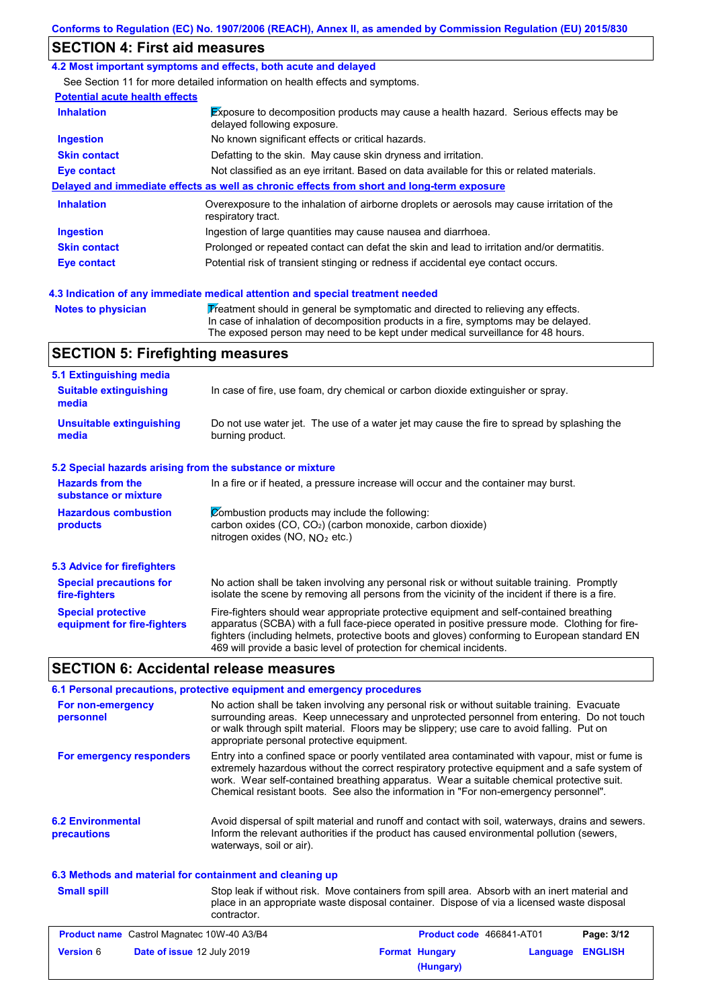# **SECTION 4: First aid measures**

### **4.2 Most important symptoms and effects, both acute and delayed**

See Section 11 for more detailed information on health effects and symptoms.

| <b>Potential acute health effects</b> |  |  |
|---------------------------------------|--|--|
|                                       |  |  |

| <b>Inhalation</b>   | Exposure to decomposition products may cause a health hazard. Serious effects may be<br>delayed following exposure. |
|---------------------|---------------------------------------------------------------------------------------------------------------------|
| <b>Ingestion</b>    | No known significant effects or critical hazards.                                                                   |
| <b>Skin contact</b> | Defatting to the skin. May cause skin dryness and irritation.                                                       |
| Eye contact         | Not classified as an eye irritant. Based on data available for this or related materials.                           |
|                     | Delayed and immediate effects as well as chronic effects from short and long-term exposure                          |
| <b>Inhalation</b>   | Overexposure to the inhalation of airborne droplets or aerosols may cause irritation of the<br>respiratory tract.   |
| <b>Ingestion</b>    | Ingestion of large quantities may cause nausea and diarrhoea.                                                       |
| <b>Skin contact</b> | Prolonged or repeated contact can defat the skin and lead to irritation and/or dermatitis.                          |
| <b>Eye contact</b>  | Potential risk of transient stinging or redness if accidental eye contact occurs.                                   |
|                     | 4.3 Indication of any immediate medical attention and special treatment needed                                      |

**Notes to physician Treatment should in general be symptomatic and directed to relieving any effects.** 

In case of inhalation of decomposition products in a fire, symptoms may be delayed. The exposed person may need to be kept under medical surveillance for 48 hours.

# **SECTION 5: Firefighting measures**

| 5.1 Extinguishing media                                   |                                                                                                                                                                                                                                                                                                                                                                   |
|-----------------------------------------------------------|-------------------------------------------------------------------------------------------------------------------------------------------------------------------------------------------------------------------------------------------------------------------------------------------------------------------------------------------------------------------|
| <b>Suitable extinguishing</b><br>media                    | In case of fire, use foam, dry chemical or carbon dioxide extinguisher or spray.                                                                                                                                                                                                                                                                                  |
| <b>Unsuitable extinguishing</b><br>media                  | Do not use water jet. The use of a water jet may cause the fire to spread by splashing the<br>burning product.                                                                                                                                                                                                                                                    |
| 5.2 Special hazards arising from the substance or mixture |                                                                                                                                                                                                                                                                                                                                                                   |
| <b>Hazards from the</b><br>substance or mixture           | In a fire or if heated, a pressure increase will occur and the container may burst.                                                                                                                                                                                                                                                                               |
| <b>Hazardous combustion</b><br>products                   | Combustion products may include the following:<br>carbon oxides (CO, CO <sub>2</sub> ) (carbon monoxide, carbon dioxide)<br>nitrogen oxides (NO, $N_O$ , etc.)                                                                                                                                                                                                    |
| 5.3 Advice for firefighters                               |                                                                                                                                                                                                                                                                                                                                                                   |
| <b>Special precautions for</b><br>fire-fighters           | No action shall be taken involving any personal risk or without suitable training. Promptly<br>isolate the scene by removing all persons from the vicinity of the incident if there is a fire.                                                                                                                                                                    |
| <b>Special protective</b><br>equipment for fire-fighters  | Fire-fighters should wear appropriate protective equipment and self-contained breathing<br>apparatus (SCBA) with a full face-piece operated in positive pressure mode. Clothing for fire-<br>fighters (including helmets, protective boots and gloves) conforming to European standard EN<br>469 will provide a basic level of protection for chemical incidents. |

# **SECTION 6: Accidental release measures**

|                                                          | 6.1 Personal precautions, protective equipment and emergency procedures                                                                                                                                                                                                                                                                                                              |
|----------------------------------------------------------|--------------------------------------------------------------------------------------------------------------------------------------------------------------------------------------------------------------------------------------------------------------------------------------------------------------------------------------------------------------------------------------|
| For non-emergency<br>personnel                           | No action shall be taken involving any personal risk or without suitable training. Evacuate<br>surrounding areas. Keep unnecessary and unprotected personnel from entering. Do not touch<br>or walk through spilt material. Floors may be slippery; use care to avoid falling. Put on<br>appropriate personal protective equipment.                                                  |
| For emergency responders                                 | Entry into a confined space or poorly ventilated area contaminated with vapour, mist or fume is<br>extremely hazardous without the correct respiratory protective equipment and a safe system of<br>work. Wear self-contained breathing apparatus. Wear a suitable chemical protective suit.<br>Chemical resistant boots. See also the information in "For non-emergency personnel". |
| <b>6.2 Environmental</b><br>precautions                  | Avoid dispersal of spilt material and runoff and contact with soil, waterways, drains and sewers.<br>Inform the relevant authorities if the product has caused environmental pollution (sewers,<br>waterways, soil or air).                                                                                                                                                          |
| 6.3 Methods and material for containment and cleaning up |                                                                                                                                                                                                                                                                                                                                                                                      |
| <b>Small spill</b>                                       | Stop leak if without risk. Move containers from spill area. Absorb with an inert material and<br>place in an appropriate waste disposal container. Dispose of via a licensed waste disposal<br>contractor.                                                                                                                                                                           |

| <b>Product name</b> Castrol Magnatec 10W-40 A3/B4 |                                   | Product code 466841-AT01 |                       | Page: 3/12              |  |
|---------------------------------------------------|-----------------------------------|--------------------------|-----------------------|-------------------------|--|
| <b>Version 6</b>                                  | <b>Date of issue 12 July 2019</b> |                          | <b>Format Hungary</b> | <b>Language ENGLISH</b> |  |
|                                                   |                                   |                          | (Hungary)             |                         |  |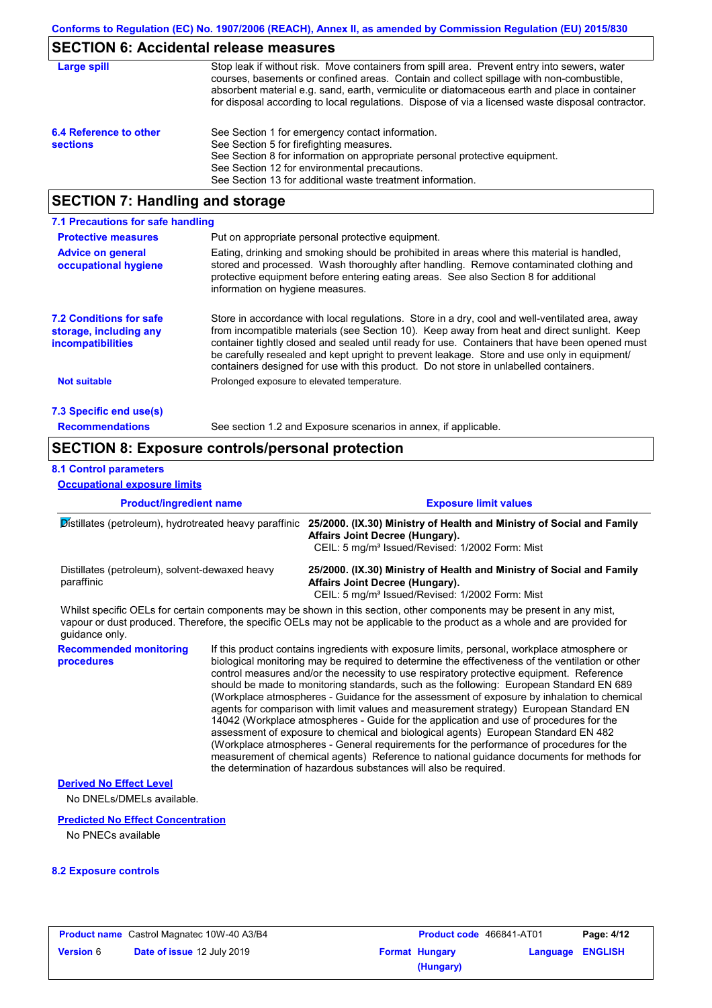# **SECTION 6: Accidental release measures**

| Large spill                               | Stop leak if without risk. Move containers from spill area. Prevent entry into sewers, water<br>courses, basements or confined areas. Contain and collect spillage with non-combustible,<br>absorbent material e.g. sand, earth, vermiculite or diatomaceous earth and place in container<br>for disposal according to local regulations. Dispose of via a licensed waste disposal contractor. |
|-------------------------------------------|------------------------------------------------------------------------------------------------------------------------------------------------------------------------------------------------------------------------------------------------------------------------------------------------------------------------------------------------------------------------------------------------|
| 6.4 Reference to other<br><b>sections</b> | See Section 1 for emergency contact information.<br>See Section 5 for firefighting measures.<br>See Section 8 for information on appropriate personal protective equipment.<br>See Section 12 for environmental precautions.<br>See Section 13 for additional waste treatment information.                                                                                                     |

# **SECTION 7: Handling and storage**

| 7.1 Precautions for safe handling                                             |                                                                                                                                                                                                                                                                                                                                                                                                                                                                                          |
|-------------------------------------------------------------------------------|------------------------------------------------------------------------------------------------------------------------------------------------------------------------------------------------------------------------------------------------------------------------------------------------------------------------------------------------------------------------------------------------------------------------------------------------------------------------------------------|
| <b>Protective measures</b>                                                    | Put on appropriate personal protective equipment.                                                                                                                                                                                                                                                                                                                                                                                                                                        |
| <b>Advice on general</b><br>occupational hygiene                              | Eating, drinking and smoking should be prohibited in areas where this material is handled.<br>stored and processed. Wash thoroughly after handling. Remove contaminated clothing and<br>protective equipment before entering eating areas. See also Section 8 for additional<br>information on hygiene measures.                                                                                                                                                                         |
| <b>7.2 Conditions for safe</b><br>storage, including any<br>incompatibilities | Store in accordance with local requlations. Store in a dry, cool and well-ventilated area, away<br>from incompatible materials (see Section 10). Keep away from heat and direct sunlight. Keep<br>container tightly closed and sealed until ready for use. Containers that have been opened must<br>be carefully resealed and kept upright to prevent leakage. Store and use only in equipment/<br>containers designed for use with this product. Do not store in unlabelled containers. |
| <b>Not suitable</b>                                                           | Prolonged exposure to elevated temperature.                                                                                                                                                                                                                                                                                                                                                                                                                                              |
| 7.3 Specific end use(s)                                                       |                                                                                                                                                                                                                                                                                                                                                                                                                                                                                          |
| <b>Recommendations</b>                                                        | See section 1.2 and Exposure scenarios in annex, if applicable.                                                                                                                                                                                                                                                                                                                                                                                                                          |

# **SECTION 8: Exposure controls/personal protection**

## **8.1 Control parameters**

**Occupational exposure limits**

| <b>Product/ingredient name</b><br>Distillates (petroleum), hydrotreated heavy paraffinic<br>Distillates (petroleum), solvent-dewaxed heavy<br>paraffinic |  | <b>Exposure limit values</b>                                                                                                                                                                                                                                                                                                                                                                                                                                                                                                                                                                                                                                                                                                                                                                                                                                                                                                                                                                                               |  |  |
|----------------------------------------------------------------------------------------------------------------------------------------------------------|--|----------------------------------------------------------------------------------------------------------------------------------------------------------------------------------------------------------------------------------------------------------------------------------------------------------------------------------------------------------------------------------------------------------------------------------------------------------------------------------------------------------------------------------------------------------------------------------------------------------------------------------------------------------------------------------------------------------------------------------------------------------------------------------------------------------------------------------------------------------------------------------------------------------------------------------------------------------------------------------------------------------------------------|--|--|
|                                                                                                                                                          |  | 25/2000. (IX.30) Ministry of Health and Ministry of Social and Family<br>Affairs Joint Decree (Hungary).<br>CEIL: 5 mg/m <sup>3</sup> Issued/Revised: 1/2002 Form: Mist                                                                                                                                                                                                                                                                                                                                                                                                                                                                                                                                                                                                                                                                                                                                                                                                                                                    |  |  |
|                                                                                                                                                          |  | 25/2000. (IX.30) Ministry of Health and Ministry of Social and Family<br>Affairs Joint Decree (Hungary).<br>CEIL: 5 mg/m <sup>3</sup> Issued/Revised: 1/2002 Form: Mist                                                                                                                                                                                                                                                                                                                                                                                                                                                                                                                                                                                                                                                                                                                                                                                                                                                    |  |  |
| quidance only.                                                                                                                                           |  | Whilst specific OELs for certain components may be shown in this section, other components may be present in any mist,<br>vapour or dust produced. Therefore, the specific OELs may not be applicable to the product as a whole and are provided for                                                                                                                                                                                                                                                                                                                                                                                                                                                                                                                                                                                                                                                                                                                                                                       |  |  |
| <b>Recommended monitoring</b><br>procedures                                                                                                              |  | If this product contains ingredients with exposure limits, personal, workplace atmosphere or<br>biological monitoring may be required to determine the effectiveness of the ventilation or other<br>control measures and/or the necessity to use respiratory protective equipment. Reference<br>should be made to monitoring standards, such as the following: European Standard EN 689<br>(Workplace atmospheres - Guidance for the assessment of exposure by inhalation to chemical<br>agents for comparison with limit values and measurement strategy) European Standard EN<br>14042 (Workplace atmospheres - Guide for the application and use of procedures for the<br>assessment of exposure to chemical and biological agents) European Standard EN 482<br>(Workplace atmospheres - General requirements for the performance of procedures for the<br>measurement of chemical agents) Reference to national guidance documents for methods for<br>the determination of hazardous substances will also be required. |  |  |
| <b>Derived No Effect Level</b><br>No DNEL S/DMEL S available.                                                                                            |  |                                                                                                                                                                                                                                                                                                                                                                                                                                                                                                                                                                                                                                                                                                                                                                                                                                                                                                                                                                                                                            |  |  |
| <b>Predicted No Effect Concentration</b>                                                                                                                 |  |                                                                                                                                                                                                                                                                                                                                                                                                                                                                                                                                                                                                                                                                                                                                                                                                                                                                                                                                                                                                                            |  |  |

No PNECs available

### **8.2 Exposure controls**

| <b>Product name</b> Castrol Magnatec 10W-40 A3/B4 |                                   | <b>Product code</b> 466841-AT01 |                       | Page: 4/12              |  |
|---------------------------------------------------|-----------------------------------|---------------------------------|-----------------------|-------------------------|--|
| <b>Version</b> 6                                  | <b>Date of issue 12 July 2019</b> |                                 | <b>Format Hungary</b> | <b>Language ENGLISH</b> |  |
|                                                   |                                   |                                 | (Hungary)             |                         |  |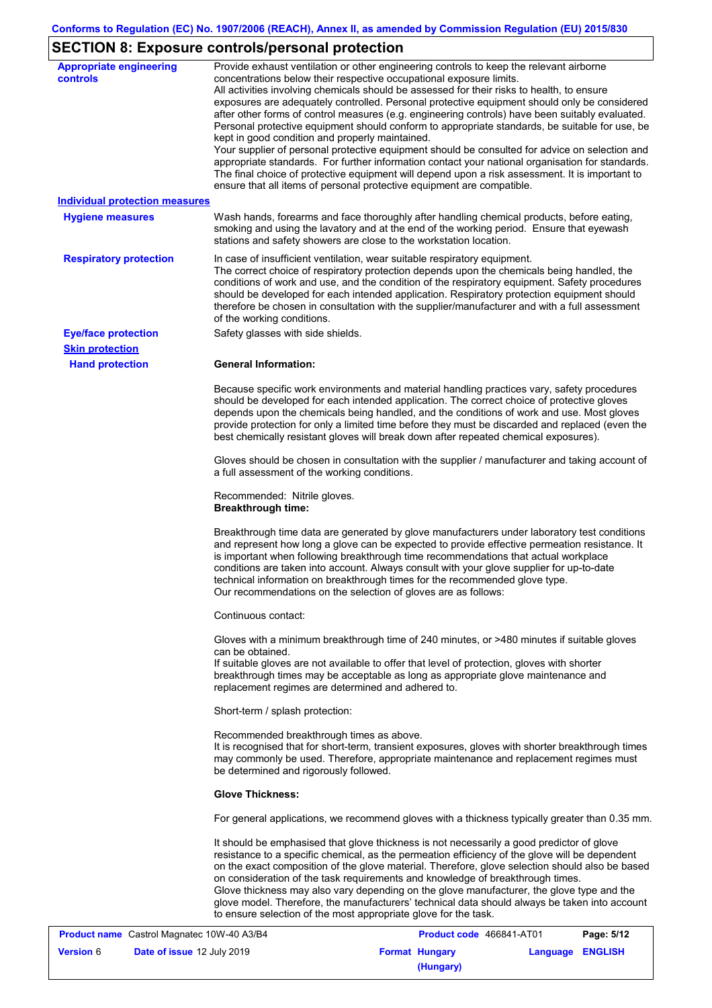# **SECTION 8: Exposure controls/personal protection**

| <b>Appropriate engineering</b><br><b>controls</b> | Provide exhaust ventilation or other engineering controls to keep the relevant airborne<br>concentrations below their respective occupational exposure limits.<br>All activities involving chemicals should be assessed for their risks to health, to ensure<br>exposures are adequately controlled. Personal protective equipment should only be considered<br>after other forms of control measures (e.g. engineering controls) have been suitably evaluated.<br>Personal protective equipment should conform to appropriate standards, be suitable for use, be<br>kept in good condition and properly maintained.<br>Your supplier of personal protective equipment should be consulted for advice on selection and<br>appropriate standards. For further information contact your national organisation for standards.<br>The final choice of protective equipment will depend upon a risk assessment. It is important to<br>ensure that all items of personal protective equipment are compatible. |
|---------------------------------------------------|---------------------------------------------------------------------------------------------------------------------------------------------------------------------------------------------------------------------------------------------------------------------------------------------------------------------------------------------------------------------------------------------------------------------------------------------------------------------------------------------------------------------------------------------------------------------------------------------------------------------------------------------------------------------------------------------------------------------------------------------------------------------------------------------------------------------------------------------------------------------------------------------------------------------------------------------------------------------------------------------------------|
| <b>Individual protection measures</b>             |                                                                                                                                                                                                                                                                                                                                                                                                                                                                                                                                                                                                                                                                                                                                                                                                                                                                                                                                                                                                         |
| <b>Hygiene measures</b>                           | Wash hands, forearms and face thoroughly after handling chemical products, before eating,<br>smoking and using the lavatory and at the end of the working period. Ensure that eyewash<br>stations and safety showers are close to the workstation location.                                                                                                                                                                                                                                                                                                                                                                                                                                                                                                                                                                                                                                                                                                                                             |
| <b>Respiratory protection</b>                     | In case of insufficient ventilation, wear suitable respiratory equipment.<br>The correct choice of respiratory protection depends upon the chemicals being handled, the<br>conditions of work and use, and the condition of the respiratory equipment. Safety procedures<br>should be developed for each intended application. Respiratory protection equipment should<br>therefore be chosen in consultation with the supplier/manufacturer and with a full assessment<br>of the working conditions.                                                                                                                                                                                                                                                                                                                                                                                                                                                                                                   |
| <b>Eye/face protection</b>                        | Safety glasses with side shields.                                                                                                                                                                                                                                                                                                                                                                                                                                                                                                                                                                                                                                                                                                                                                                                                                                                                                                                                                                       |
| <b>Skin protection</b>                            |                                                                                                                                                                                                                                                                                                                                                                                                                                                                                                                                                                                                                                                                                                                                                                                                                                                                                                                                                                                                         |
| <b>Hand protection</b>                            | <b>General Information:</b>                                                                                                                                                                                                                                                                                                                                                                                                                                                                                                                                                                                                                                                                                                                                                                                                                                                                                                                                                                             |
|                                                   | Because specific work environments and material handling practices vary, safety procedures<br>should be developed for each intended application. The correct choice of protective gloves<br>depends upon the chemicals being handled, and the conditions of work and use. Most gloves<br>provide protection for only a limited time before they must be discarded and replaced (even the<br>best chemically resistant gloves will break down after repeated chemical exposures).                                                                                                                                                                                                                                                                                                                                                                                                                                                                                                                        |
|                                                   | Gloves should be chosen in consultation with the supplier / manufacturer and taking account of<br>a full assessment of the working conditions.                                                                                                                                                                                                                                                                                                                                                                                                                                                                                                                                                                                                                                                                                                                                                                                                                                                          |
|                                                   | Recommended: Nitrile gloves.<br><b>Breakthrough time:</b>                                                                                                                                                                                                                                                                                                                                                                                                                                                                                                                                                                                                                                                                                                                                                                                                                                                                                                                                               |
|                                                   | Breakthrough time data are generated by glove manufacturers under laboratory test conditions<br>and represent how long a glove can be expected to provide effective permeation resistance. It<br>is important when following breakthrough time recommendations that actual workplace<br>conditions are taken into account. Always consult with your glove supplier for up-to-date<br>technical information on breakthrough times for the recommended glove type.<br>Our recommendations on the selection of gloves are as follows:                                                                                                                                                                                                                                                                                                                                                                                                                                                                      |
|                                                   | Continuous contact:                                                                                                                                                                                                                                                                                                                                                                                                                                                                                                                                                                                                                                                                                                                                                                                                                                                                                                                                                                                     |
|                                                   | Gloves with a minimum breakthrough time of 240 minutes, or >480 minutes if suitable gloves<br>can be obtained.<br>If suitable gloves are not available to offer that level of protection, gloves with shorter<br>breakthrough times may be acceptable as long as appropriate glove maintenance and<br>replacement regimes are determined and adhered to.                                                                                                                                                                                                                                                                                                                                                                                                                                                                                                                                                                                                                                                |
|                                                   | Short-term / splash protection:                                                                                                                                                                                                                                                                                                                                                                                                                                                                                                                                                                                                                                                                                                                                                                                                                                                                                                                                                                         |
|                                                   | Recommended breakthrough times as above.<br>It is recognised that for short-term, transient exposures, gloves with shorter breakthrough times<br>may commonly be used. Therefore, appropriate maintenance and replacement regimes must<br>be determined and rigorously followed.                                                                                                                                                                                                                                                                                                                                                                                                                                                                                                                                                                                                                                                                                                                        |
|                                                   | <b>Glove Thickness:</b>                                                                                                                                                                                                                                                                                                                                                                                                                                                                                                                                                                                                                                                                                                                                                                                                                                                                                                                                                                                 |
|                                                   | For general applications, we recommend gloves with a thickness typically greater than 0.35 mm.                                                                                                                                                                                                                                                                                                                                                                                                                                                                                                                                                                                                                                                                                                                                                                                                                                                                                                          |
|                                                   | It should be emphasised that glove thickness is not necessarily a good predictor of glove<br>resistance to a specific chemical, as the permeation efficiency of the glove will be dependent<br>on the exact composition of the glove material. Therefore, glove selection should also be based<br>on consideration of the task requirements and knowledge of breakthrough times.<br>Glove thickness may also vary depending on the glove manufacturer, the glove type and the<br>glove model. Therefore, the manufacturers' technical data should always be taken into account<br>to ensure selection of the most appropriate glove for the task.                                                                                                                                                                                                                                                                                                                                                       |
| <b>Product name</b> Castrol Magnatec 10W-40 A3/B4 | <b>Product code</b> 466841-AT01<br>Page: 5/12                                                                                                                                                                                                                                                                                                                                                                                                                                                                                                                                                                                                                                                                                                                                                                                                                                                                                                                                                           |

| <b>Product name</b> Castrol Magnatec 10W-40 A3/B4 |                                   | <b>Product code</b> 466841-AT01 |                       | Page: 5/12       |  |
|---------------------------------------------------|-----------------------------------|---------------------------------|-----------------------|------------------|--|
| <b>Version 6</b>                                  | <b>Date of issue 12 July 2019</b> |                                 | <b>Format Hungary</b> | Language ENGLISH |  |
|                                                   |                                   |                                 | (Hungary)             |                  |  |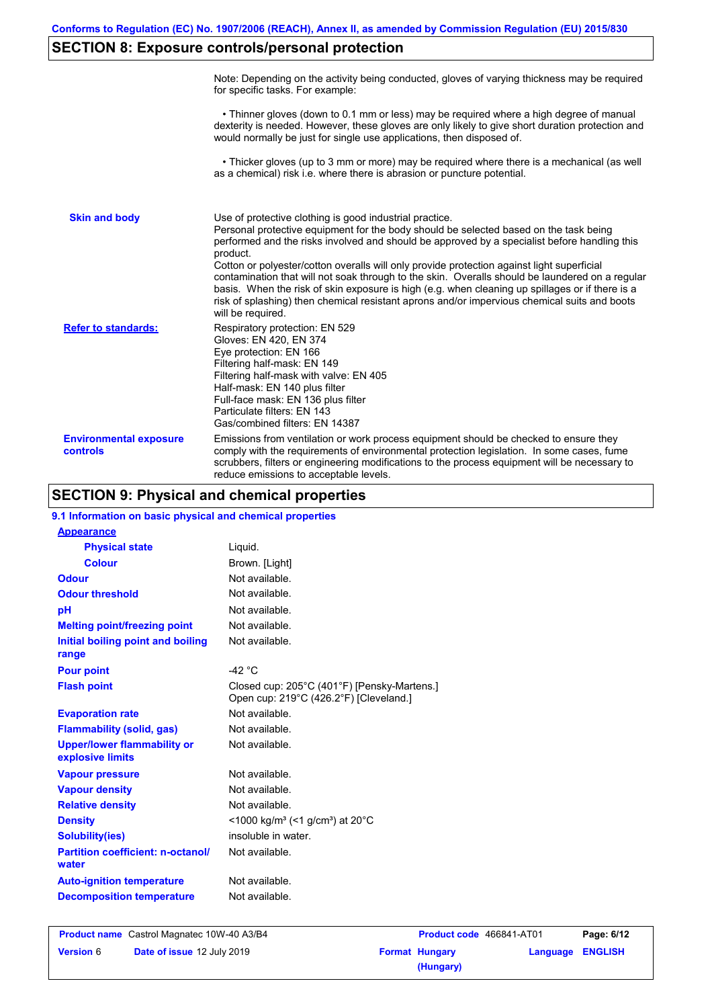# **SECTION 8: Exposure controls/personal protection**

|                                           | Note: Depending on the activity being conducted, gloves of varying thickness may be required<br>for specific tasks. For example:                                                                                                                                                                                                                                                                                                                                                                                                                                                                                                                                                      |
|-------------------------------------------|---------------------------------------------------------------------------------------------------------------------------------------------------------------------------------------------------------------------------------------------------------------------------------------------------------------------------------------------------------------------------------------------------------------------------------------------------------------------------------------------------------------------------------------------------------------------------------------------------------------------------------------------------------------------------------------|
|                                           | • Thinner gloves (down to 0.1 mm or less) may be required where a high degree of manual<br>dexterity is needed. However, these gloves are only likely to give short duration protection and<br>would normally be just for single use applications, then disposed of.                                                                                                                                                                                                                                                                                                                                                                                                                  |
|                                           | • Thicker gloves (up to 3 mm or more) may be required where there is a mechanical (as well<br>as a chemical) risk i.e. where there is abrasion or puncture potential.                                                                                                                                                                                                                                                                                                                                                                                                                                                                                                                 |
| <b>Skin and body</b>                      | Use of protective clothing is good industrial practice.<br>Personal protective equipment for the body should be selected based on the task being<br>performed and the risks involved and should be approved by a specialist before handling this<br>product.<br>Cotton or polyester/cotton overalls will only provide protection against light superficial<br>contamination that will not soak through to the skin. Overalls should be laundered on a regular<br>basis. When the risk of skin exposure is high (e.g. when cleaning up spillages or if there is a<br>risk of splashing) then chemical resistant aprons and/or impervious chemical suits and boots<br>will be required. |
| <b>Refer to standards:</b>                | Respiratory protection: EN 529<br>Gloves: EN 420, EN 374<br>Eye protection: EN 166<br>Filtering half-mask: EN 149<br>Filtering half-mask with valve: EN 405<br>Half-mask: EN 140 plus filter<br>Full-face mask: EN 136 plus filter<br>Particulate filters: EN 143<br>Gas/combined filters: EN 14387                                                                                                                                                                                                                                                                                                                                                                                   |
| <b>Environmental exposure</b><br>controls | Emissions from ventilation or work process equipment should be checked to ensure they<br>comply with the requirements of environmental protection legislation. In some cases, fume<br>scrubbers, filters or engineering modifications to the process equipment will be necessary to<br>reduce emissions to acceptable levels.                                                                                                                                                                                                                                                                                                                                                         |

# **SECTION 9: Physical and chemical properties**

| 9.1 Information on basic physical and chemical properties |                                                                                       |
|-----------------------------------------------------------|---------------------------------------------------------------------------------------|
| <b>Appearance</b>                                         |                                                                                       |
| <b>Physical state</b>                                     | Liquid.                                                                               |
| Colour                                                    | Brown. [Light]                                                                        |
| <b>Odour</b>                                              | Not available.                                                                        |
| <b>Odour threshold</b>                                    | Not available.                                                                        |
| pH                                                        | Not available.                                                                        |
| <b>Melting point/freezing point</b>                       | Not available.                                                                        |
| Initial boiling point and boiling<br>range                | Not available.                                                                        |
| <b>Pour point</b>                                         | -42 $^{\circ}$ C                                                                      |
| <b>Flash point</b>                                        | Closed cup: 205°C (401°F) [Pensky-Martens.]<br>Open cup: 219°C (426.2°F) [Cleveland.] |
| <b>Evaporation rate</b>                                   | Not available.                                                                        |
| <b>Flammability (solid, gas)</b>                          | Not available.                                                                        |
| <b>Upper/lower flammability or</b><br>explosive limits    | Not available.                                                                        |
| <b>Vapour pressure</b>                                    | Not available.                                                                        |
| <b>Vapour density</b>                                     | Not available.                                                                        |
| <b>Relative density</b>                                   | Not available.                                                                        |
| <b>Density</b>                                            | <1000 kg/m <sup>3</sup> (<1 g/cm <sup>3</sup> ) at 20 <sup>°</sup> C                  |
| <b>Solubility(ies)</b>                                    | insoluble in water.                                                                   |
| <b>Partition coefficient: n-octanol/</b><br>water         | Not available.                                                                        |
| <b>Auto-ignition temperature</b>                          | Not available.                                                                        |
| <b>Decomposition temperature</b>                          | Not available.                                                                        |
|                                                           |                                                                                       |

| <b>Product name</b> Castrol Magnatec 10W-40 A3/B4 |                                   | <b>Product code</b> 466841-AT01 |                       | Page: 6/12       |  |
|---------------------------------------------------|-----------------------------------|---------------------------------|-----------------------|------------------|--|
| <b>Version 6</b>                                  | <b>Date of issue 12 July 2019</b> |                                 | <b>Format Hungary</b> | Language ENGLISH |  |
|                                                   |                                   |                                 | (Hungary)             |                  |  |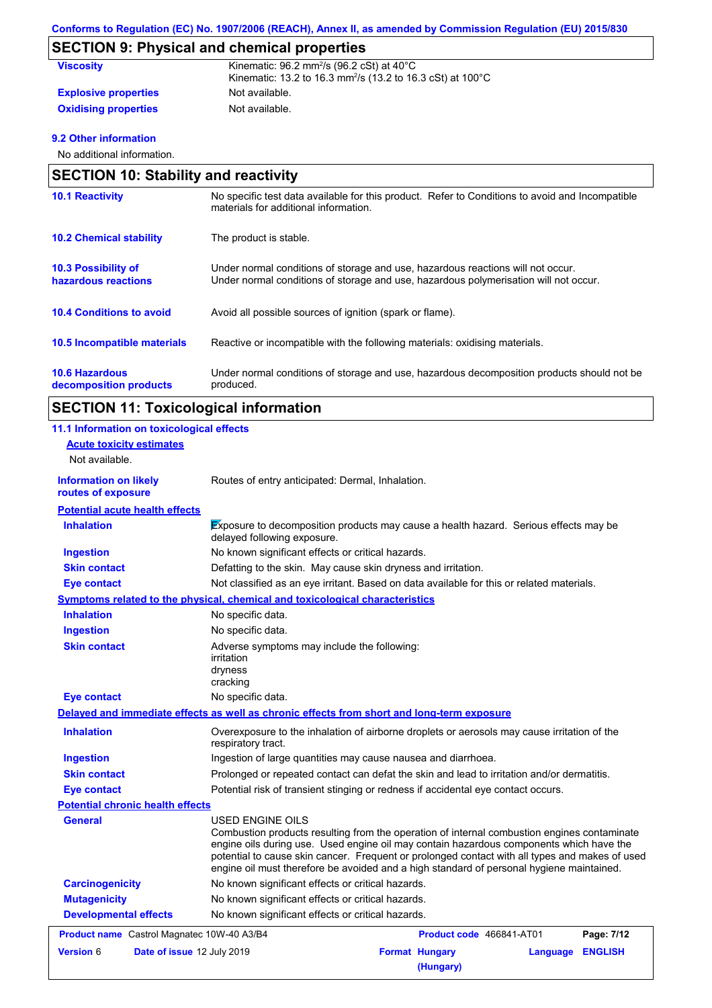# **SECTION 9: Physical and chemical properties**

| <b>Viscosity</b>            | Kinematic: $96.2$ mm <sup>2</sup> /s ( $96.2$ cSt) at $40^{\circ}$ C<br>Kinematic: 13.2 to 16.3 mm <sup>2</sup> /s (13.2 to 16.3 cSt) at 100°C |
|-----------------------------|------------------------------------------------------------------------------------------------------------------------------------------------|
| <b>Explosive properties</b> | Not available.                                                                                                                                 |
| <b>Oxidising properties</b> | Not available.                                                                                                                                 |

## **9.2 Other information**

No additional information.

| <b>SECTION 10: Stability and reactivity</b>       |                                                                                                                                                                         |  |
|---------------------------------------------------|-------------------------------------------------------------------------------------------------------------------------------------------------------------------------|--|
| <b>10.1 Reactivity</b>                            | No specific test data available for this product. Refer to Conditions to avoid and Incompatible<br>materials for additional information.                                |  |
| <b>10.2 Chemical stability</b>                    | The product is stable.                                                                                                                                                  |  |
| <b>10.3 Possibility of</b><br>hazardous reactions | Under normal conditions of storage and use, hazardous reactions will not occur.<br>Under normal conditions of storage and use, hazardous polymerisation will not occur. |  |
| <b>10.4 Conditions to avoid</b>                   | Avoid all possible sources of ignition (spark or flame).                                                                                                                |  |
| 10.5 Incompatible materials                       | Reactive or incompatible with the following materials: oxidising materials.                                                                                             |  |
| <b>10.6 Hazardous</b><br>decomposition products   | Under normal conditions of storage and use, hazardous decomposition products should not be<br>produced.                                                                 |  |

# **SECTION 11: Toxicological information**

| 11.1 Information on toxicological effects          |                                                                                                                                                                                                                                                                                                                                                                                                                 |
|----------------------------------------------------|-----------------------------------------------------------------------------------------------------------------------------------------------------------------------------------------------------------------------------------------------------------------------------------------------------------------------------------------------------------------------------------------------------------------|
| <b>Acute toxicity estimates</b>                    |                                                                                                                                                                                                                                                                                                                                                                                                                 |
| Not available.                                     |                                                                                                                                                                                                                                                                                                                                                                                                                 |
| <b>Information on likely</b><br>routes of exposure | Routes of entry anticipated: Dermal, Inhalation.                                                                                                                                                                                                                                                                                                                                                                |
| <b>Potential acute health effects</b>              |                                                                                                                                                                                                                                                                                                                                                                                                                 |
| <b>Inhalation</b>                                  | Exposure to decomposition products may cause a health hazard. Serious effects may be<br>delayed following exposure.                                                                                                                                                                                                                                                                                             |
| <b>Ingestion</b>                                   | No known significant effects or critical hazards.                                                                                                                                                                                                                                                                                                                                                               |
| <b>Skin contact</b>                                | Defatting to the skin. May cause skin dryness and irritation.                                                                                                                                                                                                                                                                                                                                                   |
| <b>Eye contact</b>                                 | Not classified as an eye irritant. Based on data available for this or related materials.                                                                                                                                                                                                                                                                                                                       |
|                                                    | Symptoms related to the physical, chemical and toxicological characteristics                                                                                                                                                                                                                                                                                                                                    |
| <b>Inhalation</b>                                  | No specific data.                                                                                                                                                                                                                                                                                                                                                                                               |
| <b>Ingestion</b>                                   | No specific data.                                                                                                                                                                                                                                                                                                                                                                                               |
| <b>Skin contact</b>                                | Adverse symptoms may include the following:<br>irritation<br>dryness<br>cracking                                                                                                                                                                                                                                                                                                                                |
| <b>Eye contact</b>                                 | No specific data.                                                                                                                                                                                                                                                                                                                                                                                               |
|                                                    | Delayed and immediate effects as well as chronic effects from short and long-term exposure                                                                                                                                                                                                                                                                                                                      |
| <b>Inhalation</b>                                  | Overexposure to the inhalation of airborne droplets or aerosols may cause irritation of the<br>respiratory tract.                                                                                                                                                                                                                                                                                               |
| <b>Ingestion</b>                                   | Ingestion of large quantities may cause nausea and diarrhoea.                                                                                                                                                                                                                                                                                                                                                   |
| <b>Skin contact</b>                                | Prolonged or repeated contact can defat the skin and lead to irritation and/or dermatitis.                                                                                                                                                                                                                                                                                                                      |
| <b>Eye contact</b>                                 | Potential risk of transient stinging or redness if accidental eye contact occurs.                                                                                                                                                                                                                                                                                                                               |
| <b>Potential chronic health effects</b>            |                                                                                                                                                                                                                                                                                                                                                                                                                 |
| <b>General</b>                                     | <b>USED ENGINE OILS</b><br>Combustion products resulting from the operation of internal combustion engines contaminate<br>engine oils during use. Used engine oil may contain hazardous components which have the<br>potential to cause skin cancer. Frequent or prolonged contact with all types and makes of used<br>engine oil must therefore be avoided and a high standard of personal hygiene maintained. |
| <b>Carcinogenicity</b>                             | No known significant effects or critical hazards.                                                                                                                                                                                                                                                                                                                                                               |
| <b>Mutagenicity</b>                                | No known significant effects or critical hazards.                                                                                                                                                                                                                                                                                                                                                               |
| <b>Developmental effects</b>                       | No known significant effects or critical hazards.                                                                                                                                                                                                                                                                                                                                                               |
| Product name Castrol Magnatec 10W-40 A3/B4         | Product code 466841-AT01<br>Page: 7/12                                                                                                                                                                                                                                                                                                                                                                          |
| <b>Version 6</b><br>Date of issue 12 July 2019     | <b>Format Hungary</b><br><b>ENGLISH</b><br>Language<br>(Hungary)                                                                                                                                                                                                                                                                                                                                                |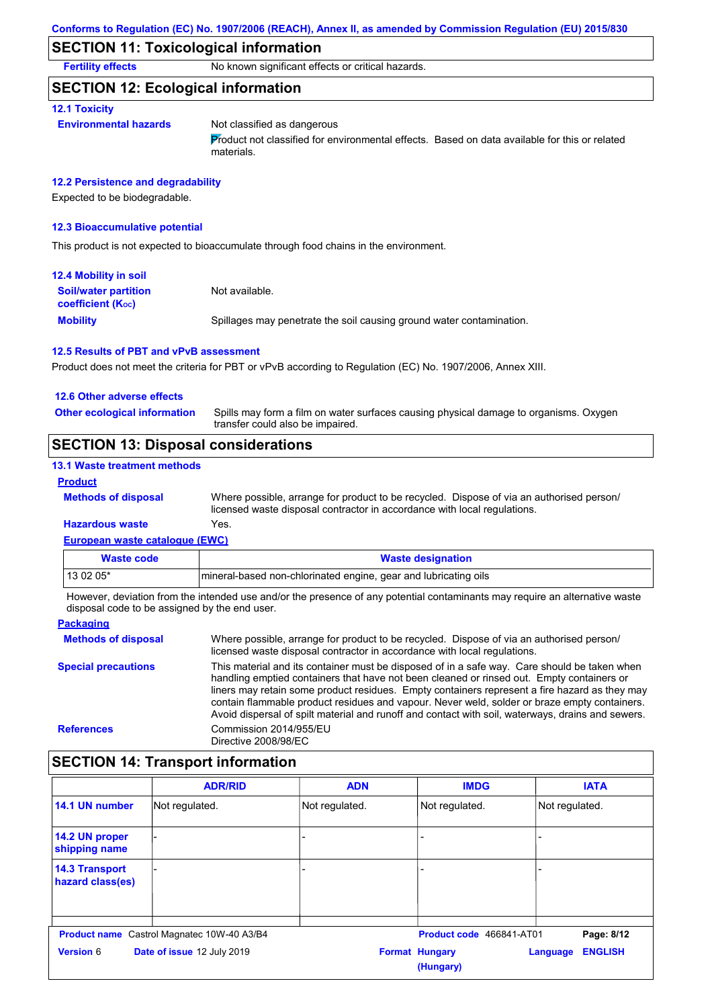## **SECTION 11: Toxicological information**

**Fertility effects** No known significant effects or critical hazards.

## **SECTION 12: Ecological information**

#### **12.1 Toxicity**

#### **Environmental hazards** Not classified as dangerous

Product not classified for environmental effects. Based on data available for this or related materials.

#### **12.2 Persistence and degradability**

Expected to be biodegradable.

#### **12.3 Bioaccumulative potential**

This product is not expected to bioaccumulate through food chains in the environment.

| <b>12.4 Mobility in soil</b>                                  |                                                                      |
|---------------------------------------------------------------|----------------------------------------------------------------------|
| <b>Soil/water partition</b><br>coefficient (K <sub>oc</sub> ) | Not available.                                                       |
| <b>Mobility</b>                                               | Spillages may penetrate the soil causing ground water contamination. |

#### **12.5 Results of PBT and vPvB assessment**

Product does not meet the criteria for PBT or vPvB according to Regulation (EC) No. 1907/2006, Annex XIII.

#### **12.6 Other adverse effects**

**Other ecological information**

Spills may form a film on water surfaces causing physical damage to organisms. Oxygen transfer could also be impaired.

## **SECTION 13: Disposal considerations**

### **13.1 Waste treatment methods**

#### **Product**

Where possible, arrange for product to be recycled. Dispose of via an authorised person/ licensed waste disposal contractor in accordance with local regulations.

# **Hazardous waste** Yes.

**Methods of disposal**

| European waste catalogue (EWC) |                                                                  |  |
|--------------------------------|------------------------------------------------------------------|--|
| <b>Waste code</b>              | <b>Waste designation</b>                                         |  |
| 13 02 05*                      | Imineral-based non-chlorinated engine, gear and lubricating oils |  |

However, deviation from the intended use and/or the presence of any potential contaminants may require an alternative waste disposal code to be assigned by the end user.

#### **Packaging Methods of disposal Special precautions** Where possible, arrange for product to be recycled. Dispose of via an authorised person/ licensed waste disposal contractor in accordance with local regulations. This material and its container must be disposed of in a safe way. Care should be taken when handling emptied containers that have not been cleaned or rinsed out. Empty containers or liners may retain some product residues. Empty containers represent a fire hazard as they may contain flammable product residues and vapour. Never weld, solder or braze empty containers. Avoid dispersal of spilt material and runoff and contact with soil, waterways, drains and sewers. **References** Commission 2014/955/EU Directive 2008/98/EC

## **SECTION 14: Transport information**

|                                           | <b>ADR/RID</b>                                    | <b>ADN</b>     | <b>IMDG</b>                        | <b>IATA</b>                |
|-------------------------------------------|---------------------------------------------------|----------------|------------------------------------|----------------------------|
| 14.1 UN number                            | Not regulated.                                    | Not regulated. | Not regulated.                     | Not regulated.             |
| 14.2 UN proper<br>shipping name           |                                                   |                |                                    |                            |
| <b>14.3 Transport</b><br>hazard class(es) |                                                   |                |                                    |                            |
|                                           | <b>Product name</b> Castrol Magnatec 10W-40 A3/B4 |                | Product code 466841-AT01           | Page: 8/12                 |
| <b>Version 6</b>                          | Date of issue 12 July 2019                        |                | <b>Format Hungary</b><br>(Hungary) | <b>ENGLISH</b><br>Language |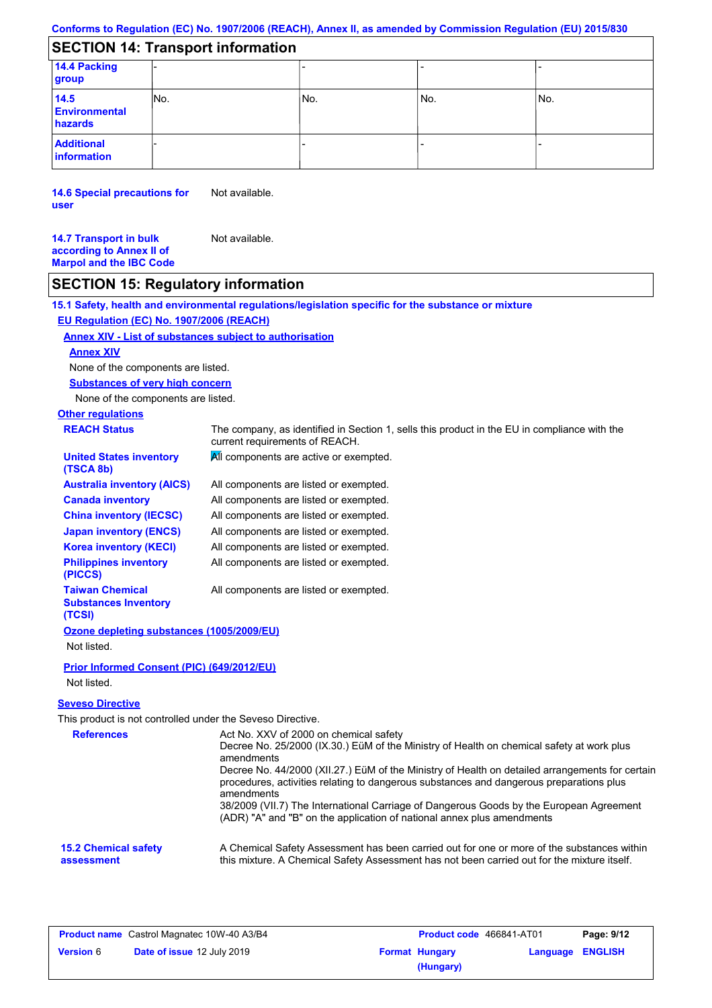### **Conforms to Regulation (EC) No. 1907/2006 (REACH), Annex II, as amended by Commission Regulation (EU) 2015/830**

# **SECTION 14: Transport information**

| <b>PLATION IT HANDROIGNIONISTIC</b>     |     |     |       |     |
|-----------------------------------------|-----|-----|-------|-----|
| 14.4 Packing<br>group                   |     |     |       |     |
| 14.5<br><b>Environmental</b><br>hazards | No. | No. | l No. | No. |
| <b>Additional</b><br>information        |     |     |       |     |

**14.6 Special precautions for user** Not available.

**14.7 Transport in bulk according to Annex II of Marpol and the IBC Code** Not available.

## **SECTION 15: Regulatory information**

**15.1 Safety, health and environmental regulations/legislation specific for the substance or mixture**

## **EU Regulation (EC) No. 1907/2006 (REACH)**

### **Annex XIV - List of substances subject to authorisation**

### **Annex XIV**

None of the components are listed.

**Substances of very high concern**

None of the components are listed.

# **Other regulations**

| <b>REACH Status</b>                                      | The company, as identified in Section 1, sells this product in the EU in compliance with the<br>current requirements of REACH. |
|----------------------------------------------------------|--------------------------------------------------------------------------------------------------------------------------------|
| <b>United States inventory</b><br>(TSCA 8b)              | All components are active or exempted.                                                                                         |
| Australia inventory (AICS)                               | All components are listed or exempted.                                                                                         |
| <b>Canada inventory</b>                                  | All components are listed or exempted.                                                                                         |
| <b>China inventory (IECSC)</b>                           | All components are listed or exempted.                                                                                         |
| <b>Japan inventory (ENCS)</b>                            | All components are listed or exempted.                                                                                         |
| <b>Korea inventory (KECI)</b>                            | All components are listed or exempted.                                                                                         |
| <b>Philippines inventory</b><br>(PICCS)                  | All components are listed or exempted.                                                                                         |
| Taiwan Chemical<br><b>Substances Inventory</b><br>(TCSI) | All components are listed or exempted.                                                                                         |
| Ozone depleting substances (1005/2009/EU)                |                                                                                                                                |
| Not listed.                                              |                                                                                                                                |
| Prior Informed Consent (PIC) (649/2012/EU)               |                                                                                                                                |

Not listed.

### **Seveso Directive**

This product is not controlled under the Seveso Directive.

| <b>References</b>                         | Act No. XXV of 2000 on chemical safety                                                                                                                                                                   |
|-------------------------------------------|----------------------------------------------------------------------------------------------------------------------------------------------------------------------------------------------------------|
|                                           | Decree No. 25/2000 (IX.30.) EüM of the Ministry of Health on chemical safety at work plus<br>amendments                                                                                                  |
|                                           | Decree No. 44/2000 (XII.27.) EüM of the Ministry of Health on detailed arrangements for certain<br>procedures, activities relating to dangerous substances and dangerous preparations plus<br>amendments |
|                                           | 38/2009 (VII.7) The International Carriage of Dangerous Goods by the European Agreement<br>(ADR) "A" and "B" on the application of national annex plus amendments                                        |
| <b>15.2 Chemical safety</b><br>assessment | A Chemical Safety Assessment has been carried out for one or more of the substances within<br>this mixture. A Chemical Safety Assessment has not been carried out for the mixture itself.                |

| <b>Product name</b> Castrol Magnatec 10W-40 A3/B4 |                                   | <b>Product code</b> 466841-AT01 |                       | Page: 9/12              |  |
|---------------------------------------------------|-----------------------------------|---------------------------------|-----------------------|-------------------------|--|
| <b>Version 6</b>                                  | <b>Date of issue 12 July 2019</b> |                                 | <b>Format Hungary</b> | <b>Language ENGLISH</b> |  |
|                                                   |                                   |                                 | (Hungary)             |                         |  |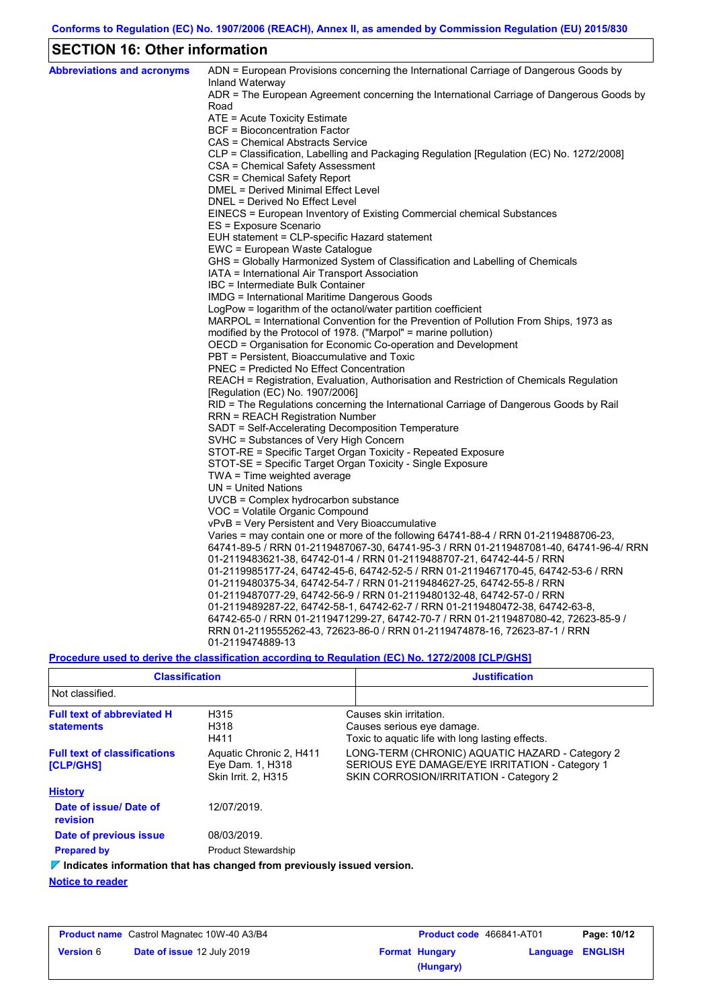# **SECTION 16: Other information**

| <b>Abbreviations and acronyms</b> | ADN = European Provisions concerning the International Carriage of Dangerous Goods by                                                                  |
|-----------------------------------|--------------------------------------------------------------------------------------------------------------------------------------------------------|
|                                   | Inland Waterway<br>ADR = The European Agreement concerning the International Carriage of Dangerous Goods by                                            |
|                                   | Road                                                                                                                                                   |
|                                   | ATE = Acute Toxicity Estimate                                                                                                                          |
|                                   | BCF = Bioconcentration Factor                                                                                                                          |
|                                   | CAS = Chemical Abstracts Service                                                                                                                       |
|                                   | CLP = Classification, Labelling and Packaging Regulation [Regulation (EC) No. 1272/2008]                                                               |
|                                   | CSA = Chemical Safety Assessment                                                                                                                       |
|                                   | CSR = Chemical Safety Report                                                                                                                           |
|                                   | DMEL = Derived Minimal Effect Level                                                                                                                    |
|                                   | DNEL = Derived No Effect Level                                                                                                                         |
|                                   | EINECS = European Inventory of Existing Commercial chemical Substances                                                                                 |
|                                   | ES = Exposure Scenario                                                                                                                                 |
|                                   | EUH statement = CLP-specific Hazard statement                                                                                                          |
|                                   | EWC = European Waste Catalogue                                                                                                                         |
|                                   | GHS = Globally Harmonized System of Classification and Labelling of Chemicals                                                                          |
|                                   | IATA = International Air Transport Association                                                                                                         |
|                                   | IBC = Intermediate Bulk Container                                                                                                                      |
|                                   | IMDG = International Maritime Dangerous Goods                                                                                                          |
|                                   | LogPow = logarithm of the octanol/water partition coefficient<br>MARPOL = International Convention for the Prevention of Pollution From Ships, 1973 as |
|                                   | modified by the Protocol of 1978. ("Marpol" = marine pollution)                                                                                        |
|                                   | OECD = Organisation for Economic Co-operation and Development                                                                                          |
|                                   | PBT = Persistent, Bioaccumulative and Toxic                                                                                                            |
|                                   | PNEC = Predicted No Effect Concentration                                                                                                               |
|                                   | REACH = Registration, Evaluation, Authorisation and Restriction of Chemicals Regulation                                                                |
|                                   | [Regulation (EC) No. 1907/2006]                                                                                                                        |
|                                   | RID = The Regulations concerning the International Carriage of Dangerous Goods by Rail                                                                 |
|                                   | RRN = REACH Registration Number                                                                                                                        |
|                                   | SADT = Self-Accelerating Decomposition Temperature                                                                                                     |
|                                   | SVHC = Substances of Very High Concern                                                                                                                 |
|                                   | STOT-RE = Specific Target Organ Toxicity - Repeated Exposure                                                                                           |
|                                   | STOT-SE = Specific Target Organ Toxicity - Single Exposure                                                                                             |
|                                   | TWA = Time weighted average                                                                                                                            |
|                                   | UN = United Nations                                                                                                                                    |
|                                   | $UVCB = Complex\;hydrocarbon\; substance$                                                                                                              |
|                                   | VOC = Volatile Organic Compound                                                                                                                        |
|                                   | vPvB = Very Persistent and Very Bioaccumulative                                                                                                        |
|                                   | Varies = may contain one or more of the following $64741-88-4$ / RRN 01-2119488706-23,                                                                 |
|                                   | 64741-89-5 / RRN 01-2119487067-30, 64741-95-3 / RRN 01-2119487081-40, 64741-96-4/ RRN                                                                  |
|                                   | 01-2119483621-38, 64742-01-4 / RRN 01-2119488707-21, 64742-44-5 / RRN                                                                                  |
|                                   | 01-2119985177-24, 64742-45-6, 64742-52-5 / RRN 01-2119467170-45, 64742-53-6 / RRN                                                                      |
|                                   | 01-2119480375-34, 64742-54-7 / RRN 01-2119484627-25, 64742-55-8 / RRN                                                                                  |
|                                   | 01-2119487077-29, 64742-56-9 / RRN 01-2119480132-48, 64742-57-0 / RRN                                                                                  |
|                                   | 01-2119489287-22, 64742-58-1, 64742-62-7 / RRN 01-2119480472-38, 64742-63-8,                                                                           |
|                                   | 64742-65-0 / RRN 01-2119471299-27, 64742-70-7 / RRN 01-2119487080-42, 72623-85-9 /                                                                     |
|                                   | RRN 01-2119555262-43, 72623-86-0 / RRN 01-2119474878-16, 72623-87-1 / RRN                                                                              |
|                                   | 01-2119474889-13                                                                                                                                       |

**Procedure used to derive the classification according to Regulation (EC) No. 1272/2008 [CLP/GHS]**

| <b>Classification</b>                                   |                                                                                 | <b>Justification</b>                                                                                                                        |
|---------------------------------------------------------|---------------------------------------------------------------------------------|---------------------------------------------------------------------------------------------------------------------------------------------|
| Not classified.                                         |                                                                                 |                                                                                                                                             |
| <b>Full text of abbreviated H</b><br><b>statements</b>  | H315<br>H318<br>H411                                                            | Causes skin irritation.<br>Causes serious eye damage.<br>Toxic to aguatic life with long lasting effects.                                   |
| <b>Full text of classifications</b><br><b>[CLP/GHS]</b> | Aquatic Chronic 2, H411<br>Eye Dam. 1, H318<br>Skin Irrit. 2. H315              | LONG-TERM (CHRONIC) AQUATIC HAZARD - Category 2<br>SERIOUS EYE DAMAGE/EYE IRRITATION - Category 1<br>SKIN CORROSION/IRRITATION - Category 2 |
| <b>History</b>                                          |                                                                                 |                                                                                                                                             |
| Date of issue/ Date of<br>revision                      | 12/07/2019.                                                                     |                                                                                                                                             |
| Date of previous issue                                  | 08/03/2019.                                                                     |                                                                                                                                             |
| <b>Prepared by</b>                                      | <b>Product Stewardship</b>                                                      |                                                                                                                                             |
|                                                         | $\nabla$ Indicates information that has changed from previously issued version. |                                                                                                                                             |
| .                                                       |                                                                                 |                                                                                                                                             |

**Notice to reader**

|                  | <b>Product name</b> Castrol Magnatec 10W-40 A3/B4 | <b>Product code</b> 466841-AT01 |                  | Page: 10/12 |
|------------------|---------------------------------------------------|---------------------------------|------------------|-------------|
| <b>Version 6</b> | Date of issue 12 July 2019                        | <b>Format Hungary</b>           | Language ENGLISH |             |
|                  |                                                   | (Hungary)                       |                  |             |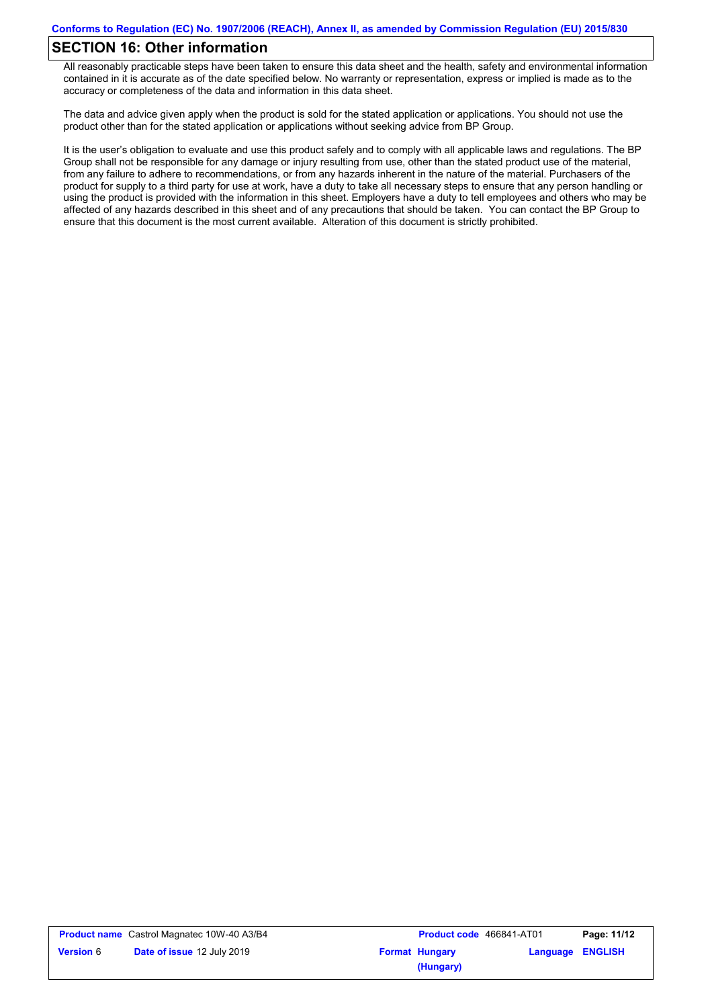## **SECTION 16: Other information**

All reasonably practicable steps have been taken to ensure this data sheet and the health, safety and environmental information contained in it is accurate as of the date specified below. No warranty or representation, express or implied is made as to the accuracy or completeness of the data and information in this data sheet.

The data and advice given apply when the product is sold for the stated application or applications. You should not use the product other than for the stated application or applications without seeking advice from BP Group.

It is the user's obligation to evaluate and use this product safely and to comply with all applicable laws and regulations. The BP Group shall not be responsible for any damage or injury resulting from use, other than the stated product use of the material, from any failure to adhere to recommendations, or from any hazards inherent in the nature of the material. Purchasers of the product for supply to a third party for use at work, have a duty to take all necessary steps to ensure that any person handling or using the product is provided with the information in this sheet. Employers have a duty to tell employees and others who may be affected of any hazards described in this sheet and of any precautions that should be taken. You can contact the BP Group to ensure that this document is the most current available. Alteration of this document is strictly prohibited.